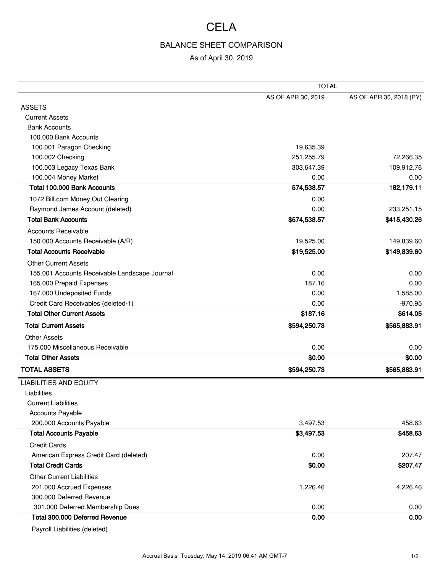## **CELA**

## BALANCE SHEET COMPARISON

## As of April 30, 2019

|                                               | <b>TOTAL</b>       |                         |
|-----------------------------------------------|--------------------|-------------------------|
|                                               | AS OF APR 30, 2019 | AS OF APR 30, 2018 (PY) |
| <b>ASSETS</b>                                 |                    |                         |
| <b>Current Assets</b>                         |                    |                         |
| <b>Bank Accounts</b>                          |                    |                         |
| 100.000 Bank Accounts                         |                    |                         |
| 100.001 Paragon Checking                      | 19,635.39          |                         |
| 100.002 Checking                              | 251, 255.79        | 72,266.35               |
| 100.003 Legacy Texas Bank                     | 303,647.39         | 109,912.76              |
| 100.004 Money Market                          | 0.00               | 0.00                    |
| Total 100.000 Bank Accounts                   | 574,538.57         | 182,179.11              |
| 1072 Bill.com Money Out Clearing              | 0.00               |                         |
| Raymond James Account (deleted)               | 0.00               | 233,251.15              |
| <b>Total Bank Accounts</b>                    | \$574,538.57       | \$415,430.26            |
| <b>Accounts Receivable</b>                    |                    |                         |
| 150.000 Accounts Receivable (A/R)             | 19,525.00          | 149,839.60              |
| <b>Total Accounts Receivable</b>              | \$19,525.00        | \$149,839.60            |
| <b>Other Current Assets</b>                   |                    |                         |
| 155.001 Accounts Receivable Landscape Journal | 0.00               | 0.00                    |
| 165.000 Prepaid Expenses                      | 187.16             | 0.00                    |
| 167.000 Undeposited Funds                     | 0.00               | 1,585.00                |
| Credit Card Receivables (deleted-1)           | 0.00               | $-970.95$               |
| <b>Total Other Current Assets</b>             | \$187.16           | \$614.05                |
| <b>Total Current Assets</b>                   | \$594,250.73       | \$565,883.91            |
| <b>Other Assets</b>                           |                    |                         |
| 175.000 Miscellaneous Receivable              | 0.00               | 0.00                    |
| <b>Total Other Assets</b>                     | \$0.00             | \$0.00                  |
| <b>TOTAL ASSETS</b>                           | \$594,250.73       | \$565,883.91            |
| <b>LIABILITIES AND EQUITY</b>                 |                    |                         |
| Liabilities                                   |                    |                         |
| <b>Current Liabilities</b>                    |                    |                         |
| <b>Accounts Payable</b>                       |                    |                         |
| 200.000 Accounts Payable                      | 3,497.53           | 458.63                  |
| <b>Total Accounts Payable</b>                 | \$3,497.53         | \$458.63                |
| <b>Credit Cards</b>                           |                    |                         |
| American Express Credit Card (deleted)        | 0.00               | 207.47                  |
| <b>Total Credit Cards</b>                     | \$0.00             | \$207.47                |
| <b>Other Current Liabilities</b>              |                    |                         |
| 201.000 Accrued Expenses                      | 1,226.46           | 4,226.46                |
| 300.000 Deferred Revenue                      |                    |                         |
| 301.000 Deferred Membership Dues              | 0.00               | 0.00                    |
| Total 300.000 Deferred Revenue                | 0.00               | 0.00                    |

Payroll Liabilities (deleted)